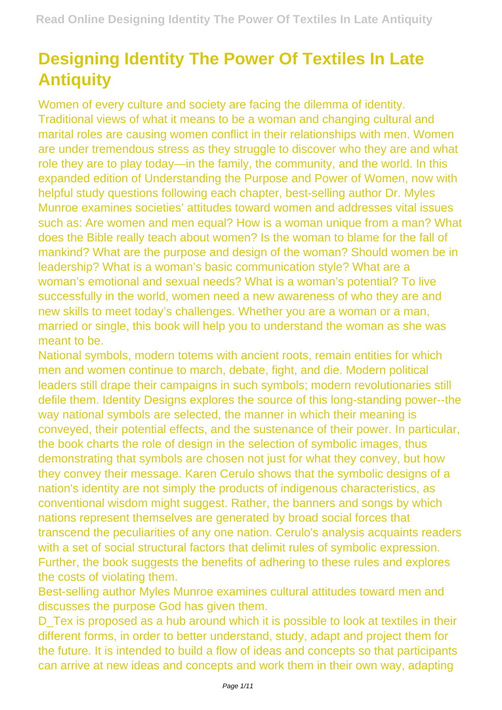## **Designing Identity The Power Of Textiles In Late Antiquity**

Women of every culture and society are facing the dilemma of identity. Traditional views of what it means to be a woman and changing cultural and marital roles are causing women conflict in their relationships with men. Women are under tremendous stress as they struggle to discover who they are and what role they are to play today—in the family, the community, and the world. In this expanded edition of Understanding the Purpose and Power of Women, now with helpful study questions following each chapter, best-selling author Dr. Myles Munroe examines societies' attitudes toward women and addresses vital issues such as: Are women and men equal? How is a woman unique from a man? What does the Bible really teach about women? Is the woman to blame for the fall of mankind? What are the purpose and design of the woman? Should women be in leadership? What is a woman's basic communication style? What are a woman's emotional and sexual needs? What is a woman's potential? To live successfully in the world, women need a new awareness of who they are and new skills to meet today's challenges. Whether you are a woman or a man, married or single, this book will help you to understand the woman as she was meant to be.

National symbols, modern totems with ancient roots, remain entities for which men and women continue to march, debate, fight, and die. Modern political leaders still drape their campaigns in such symbols; modern revolutionaries still defile them. Identity Designs explores the source of this long-standing power--the way national symbols are selected, the manner in which their meaning is conveyed, their potential effects, and the sustenance of their power. In particular, the book charts the role of design in the selection of symbolic images, thus demonstrating that symbols are chosen not just for what they convey, but how they convey their message. Karen Cerulo shows that the symbolic designs of a nation's identity are not simply the products of indigenous characteristics, as conventional wisdom might suggest. Rather, the banners and songs by which nations represent themselves are generated by broad social forces that transcend the peculiarities of any one nation. Cerulo's analysis acquaints readers with a set of social structural factors that delimit rules of symbolic expression. Further, the book suggests the benefits of adhering to these rules and explores the costs of violating them.

Best-selling author Myles Munroe examines cultural attitudes toward men and discusses the purpose God has given them.

D Tex is proposed as a hub around which it is possible to look at textiles in their different forms, in order to better understand, study, adapt and project them for the future. It is intended to build a flow of ideas and concepts so that participants can arrive at new ideas and concepts and work them in their own way, adapting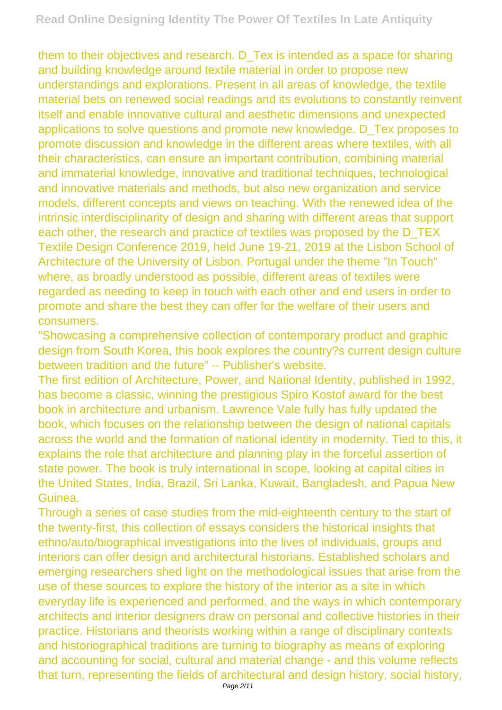them to their objectives and research. D\_Tex is intended as a space for sharing and building knowledge around textile material in order to propose new understandings and explorations. Present in all areas of knowledge, the textile material bets on renewed social readings and its evolutions to constantly reinvent itself and enable innovative cultural and aesthetic dimensions and unexpected applications to solve questions and promote new knowledge. D\_Tex proposes to promote discussion and knowledge in the different areas where textiles, with all their characteristics, can ensure an important contribution, combining material and immaterial knowledge, innovative and traditional techniques, technological and innovative materials and methods, but also new organization and service models, different concepts and views on teaching. With the renewed idea of the intrinsic interdisciplinarity of design and sharing with different areas that support each other, the research and practice of textiles was proposed by the D\_TEX Textile Design Conference 2019, held June 19-21, 2019 at the Lisbon School of Architecture of the University of Lisbon, Portugal under the theme "In Touch" where, as broadly understood as possible, different areas of textiles were regarded as needing to keep in touch with each other and end users in order to promote and share the best they can offer for the welfare of their users and consumers.

"Showcasing a comprehensive collection of contemporary product and graphic design from South Korea, this book explores the country?s current design culture between tradition and the future" -- Publisher's website.

The first edition of Architecture, Power, and National Identity, published in 1992, has become a classic, winning the prestigious Spiro Kostof award for the best book in architecture and urbanism. Lawrence Vale fully has fully updated the book, which focuses on the relationship between the design of national capitals across the world and the formation of national identity in modernity. Tied to this, it explains the role that architecture and planning play in the forceful assertion of state power. The book is truly international in scope, looking at capital cities in the United States, India, Brazil, Sri Lanka, Kuwait, Bangladesh, and Papua New Guinea.

Through a series of case studies from the mid-eighteenth century to the start of the twenty-first, this collection of essays considers the historical insights that ethno/auto/biographical investigations into the lives of individuals, groups and interiors can offer design and architectural historians. Established scholars and emerging researchers shed light on the methodological issues that arise from the use of these sources to explore the history of the interior as a site in which everyday life is experienced and performed, and the ways in which contemporary architects and interior designers draw on personal and collective histories in their practice. Historians and theorists working within a range of disciplinary contexts and historiographical traditions are turning to biography as means of exploring and accounting for social, cultural and material change - and this volume reflects that turn, representing the fields of architectural and design history, social history,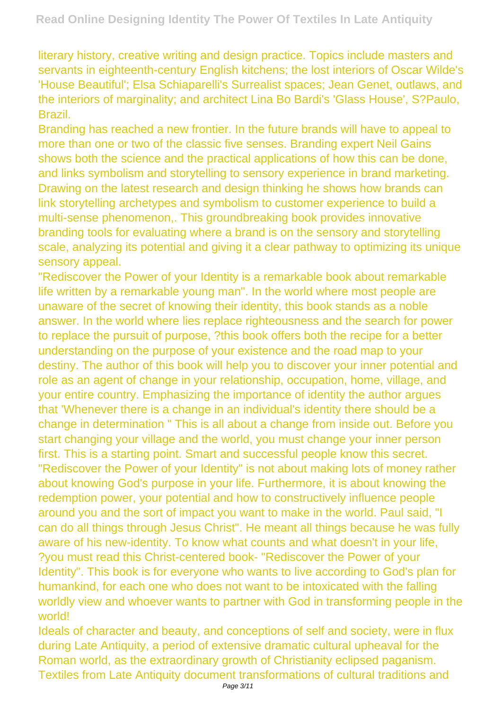literary history, creative writing and design practice. Topics include masters and servants in eighteenth-century English kitchens; the lost interiors of Oscar Wilde's 'House Beautiful'; Elsa Schiaparelli's Surrealist spaces; Jean Genet, outlaws, and the interiors of marginality; and architect Lina Bo Bardi's 'Glass House', S?Paulo, Brazil.

Branding has reached a new frontier. In the future brands will have to appeal to more than one or two of the classic five senses. Branding expert Neil Gains shows both the science and the practical applications of how this can be done, and links symbolism and storytelling to sensory experience in brand marketing. Drawing on the latest research and design thinking he shows how brands can link storytelling archetypes and symbolism to customer experience to build a multi-sense phenomenon,. This groundbreaking book provides innovative branding tools for evaluating where a brand is on the sensory and storytelling scale, analyzing its potential and giving it a clear pathway to optimizing its unique sensory appeal.

"Rediscover the Power of your Identity is a remarkable book about remarkable life written by a remarkable young man". In the world where most people are unaware of the secret of knowing their identity, this book stands as a noble answer. In the world where lies replace righteousness and the search for power to replace the pursuit of purpose, ?this book offers both the recipe for a better understanding on the purpose of your existence and the road map to your destiny. The author of this book will help you to discover your inner potential and role as an agent of change in your relationship, occupation, home, village, and your entire country. Emphasizing the importance of identity the author argues that 'Whenever there is a change in an individual's identity there should be a change in determination " This is all about a change from inside out. Before you start changing your village and the world, you must change your inner person first. This is a starting point. Smart and successful people know this secret. "Rediscover the Power of your Identity" is not about making lots of money rather about knowing God's purpose in your life. Furthermore, it is about knowing the redemption power, your potential and how to constructively influence people around you and the sort of impact you want to make in the world. Paul said, "I can do all things through Jesus Christ". He meant all things because he was fully aware of his new-identity. To know what counts and what doesn't in your life, ?you must read this Christ-centered book- "Rediscover the Power of your Identity". This book is for everyone who wants to live according to God's plan for humankind, for each one who does not want to be intoxicated with the falling worldly view and whoever wants to partner with God in transforming people in the world!

Ideals of character and beauty, and conceptions of self and society, were in flux during Late Antiquity, a period of extensive dramatic cultural upheaval for the Roman world, as the extraordinary growth of Christianity eclipsed paganism. Textiles from Late Antiquity document transformations of cultural traditions and Page 3/11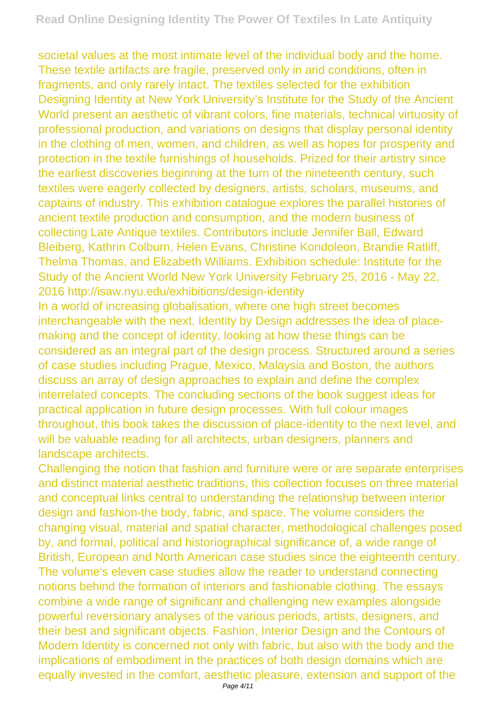societal values at the most intimate level of the individual body and the home. These textile artifacts are fragile, preserved only in arid conditions, often in fragments, and only rarely intact. The textiles selected for the exhibition Designing Identity at New York University's Institute for the Study of the Ancient World present an aesthetic of vibrant colors, fine materials, technical virtuosity of professional production, and variations on designs that display personal identity in the clothing of men, women, and children, as well as hopes for prosperity and protection in the textile furnishings of households. Prized for their artistry since the earliest discoveries beginning at the turn of the nineteenth century, such textiles were eagerly collected by designers, artists, scholars, museums, and captains of industry. This exhibition catalogue explores the parallel histories of ancient textile production and consumption, and the modern business of collecting Late Antique textiles. Contributors include Jennifer Ball, Edward Bleiberg, Kathrin Colburn, Helen Evans, Christine Kondoleon, Brandie Ratliff, Thelma Thomas, and Elizabeth Williams. Exhibition schedule: Institute for the Study of the Ancient World New York University February 25, 2016 - May 22, 2016 http://isaw.nyu.edu/exhibitions/design-identity

In a world of increasing globalisation, where one high street becomes interchangeable with the next, Identity by Design addresses the idea of placemaking and the concept of identity, looking at how these things can be considered as an integral part of the design process. Structured around a series of case studies including Prague, Mexico, Malaysia and Boston, the authors discuss an array of design approaches to explain and define the complex interrelated concepts. The concluding sections of the book suggest ideas for practical application in future design processes. With full colour images throughout, this book takes the discussion of place-identity to the next level, and will be valuable reading for all architects, urban designers, planners and landscape architects.

Challenging the notion that fashion and furniture were or are separate enterprises and distinct material aesthetic traditions, this collection focuses on three material and conceptual links central to understanding the relationship between interior design and fashion-the body, fabric, and space. The volume considers the changing visual, material and spatial character, methodological challenges posed by, and formal, political and historiographical significance of, a wide range of British, European and North American case studies since the eighteenth century. The volume's eleven case studies allow the reader to understand connecting notions behind the formation of interiors and fashionable clothing. The essays combine a wide range of significant and challenging new examples alongside powerful reversionary analyses of the various periods, artists, designers, and their best and significant objects. Fashion, Interior Design and the Contours of Modern Identity is concerned not only with fabric, but also with the body and the implications of embodiment in the practices of both design domains which are equally invested in the comfort, aesthetic pleasure, extension and support of the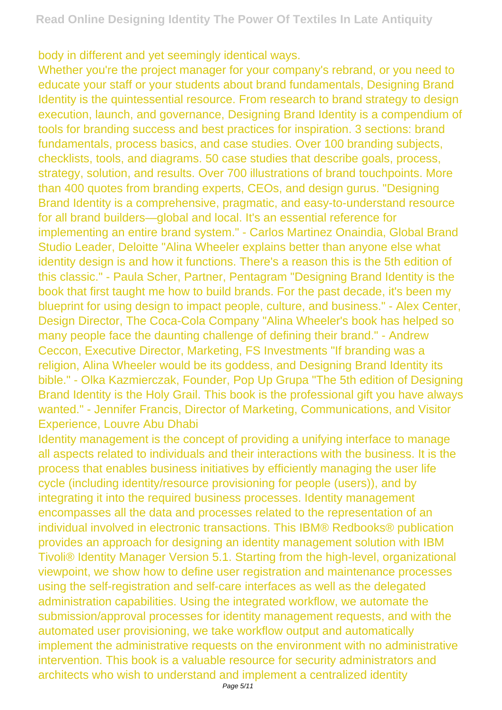body in different and yet seemingly identical ways.

Whether you're the project manager for your company's rebrand, or you need to educate your staff or your students about brand fundamentals, Designing Brand Identity is the quintessential resource. From research to brand strategy to design execution, launch, and governance, Designing Brand Identity is a compendium of tools for branding success and best practices for inspiration. 3 sections: brand fundamentals, process basics, and case studies. Over 100 branding subjects, checklists, tools, and diagrams. 50 case studies that describe goals, process, strategy, solution, and results. Over 700 illustrations of brand touchpoints. More than 400 quotes from branding experts, CEOs, and design gurus. "Designing Brand Identity is a comprehensive, pragmatic, and easy-to-understand resource for all brand builders—global and local. It's an essential reference for implementing an entire brand system." - Carlos Martinez Onaindia, Global Brand Studio Leader, Deloitte "Alina Wheeler explains better than anyone else what identity design is and how it functions. There's a reason this is the 5th edition of this classic." - Paula Scher, Partner, Pentagram "Designing Brand Identity is the book that first taught me how to build brands. For the past decade, it's been my blueprint for using design to impact people, culture, and business." - Alex Center, Design Director, The Coca-Cola Company "Alina Wheeler's book has helped so many people face the daunting challenge of defining their brand." - Andrew Ceccon, Executive Director, Marketing, FS Investments "If branding was a religion, Alina Wheeler would be its goddess, and Designing Brand Identity its bible." - Olka Kazmierczak, Founder, Pop Up Grupa "The 5th edition of Designing Brand Identity is the Holy Grail. This book is the professional gift you have always wanted." - Jennifer Francis, Director of Marketing, Communications, and Visitor Experience, Louvre Abu Dhabi

Identity management is the concept of providing a unifying interface to manage all aspects related to individuals and their interactions with the business. It is the process that enables business initiatives by efficiently managing the user life cycle (including identity/resource provisioning for people (users)), and by integrating it into the required business processes. Identity management encompasses all the data and processes related to the representation of an individual involved in electronic transactions. This IBM® Redbooks® publication provides an approach for designing an identity management solution with IBM Tivoli® Identity Manager Version 5.1. Starting from the high-level, organizational viewpoint, we show how to define user registration and maintenance processes using the self-registration and self-care interfaces as well as the delegated administration capabilities. Using the integrated workflow, we automate the submission/approval processes for identity management requests, and with the automated user provisioning, we take workflow output and automatically implement the administrative requests on the environment with no administrative intervention. This book is a valuable resource for security administrators and architects who wish to understand and implement a centralized identity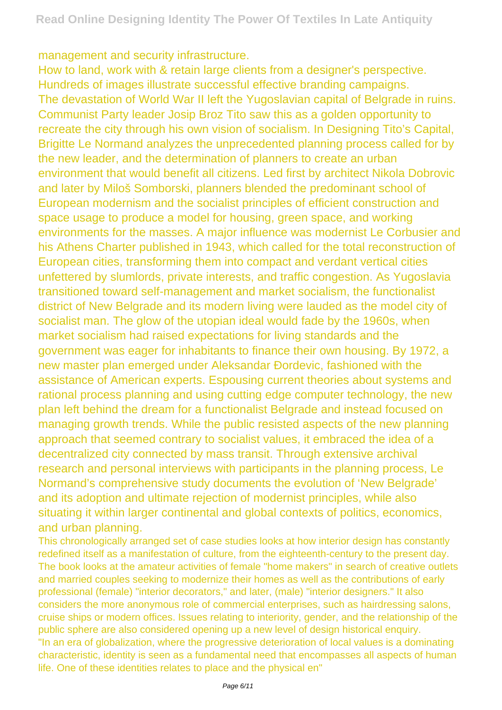management and security infrastructure.

How to land, work with & retain large clients from a designer's perspective. Hundreds of images illustrate successful effective branding campaigns. The devastation of World War II left the Yugoslavian capital of Belgrade in ruins. Communist Party leader Josip Broz Tito saw this as a golden opportunity to recreate the city through his own vision of socialism. In Designing Tito's Capital, Brigitte Le Normand analyzes the unprecedented planning process called for by the new leader, and the determination of planners to create an urban environment that would benefit all citizens. Led first by architect Nikola Dobrovic and later by Miloš Somborski, planners blended the predominant school of European modernism and the socialist principles of efficient construction and space usage to produce a model for housing, green space, and working environments for the masses. A major influence was modernist Le Corbusier and his Athens Charter published in 1943, which called for the total reconstruction of European cities, transforming them into compact and verdant vertical cities unfettered by slumlords, private interests, and traffic congestion. As Yugoslavia transitioned toward self-management and market socialism, the functionalist district of New Belgrade and its modern living were lauded as the model city of socialist man. The glow of the utopian ideal would fade by the 1960s, when market socialism had raised expectations for living standards and the government was eager for inhabitants to finance their own housing. By 1972, a new master plan emerged under Aleksandar Ðordevic, fashioned with the assistance of American experts. Espousing current theories about systems and rational process planning and using cutting edge computer technology, the new plan left behind the dream for a functionalist Belgrade and instead focused on managing growth trends. While the public resisted aspects of the new planning approach that seemed contrary to socialist values, it embraced the idea of a decentralized city connected by mass transit. Through extensive archival research and personal interviews with participants in the planning process, Le Normand's comprehensive study documents the evolution of 'New Belgrade' and its adoption and ultimate rejection of modernist principles, while also situating it within larger continental and global contexts of politics, economics, and urban planning.

This chronologically arranged set of case studies looks at how interior design has constantly redefined itself as a manifestation of culture, from the eighteenth-century to the present day. The book looks at the amateur activities of female "home makers" in search of creative outlets and married couples seeking to modernize their homes as well as the contributions of early professional (female) "interior decorators," and later, (male) "interior designers." It also considers the more anonymous role of commercial enterprises, such as hairdressing salons, cruise ships or modern offices. Issues relating to interiority, gender, and the relationship of the public sphere are also considered opening up a new level of design historical enquiry. "In an era of globalization, where the progressive deterioration of local values is a dominating characteristic, identity is seen as a fundamental need that encompasses all aspects of human life. One of these identities relates to place and the physical en"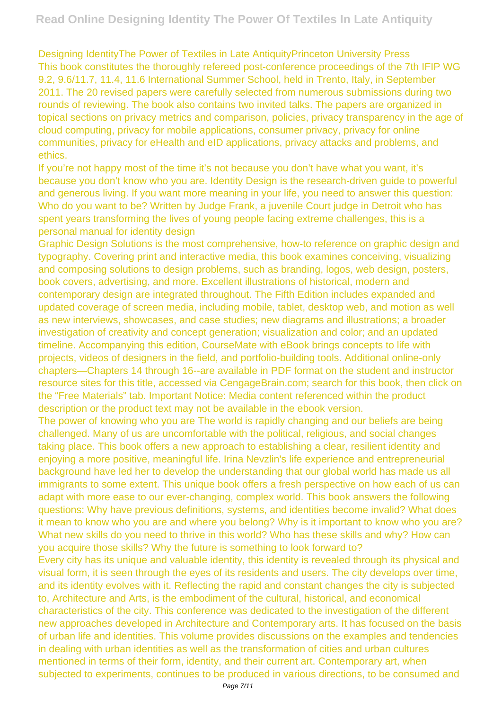Designing IdentityThe Power of Textiles in Late AntiquityPrinceton University Press This book constitutes the thoroughly refereed post-conference proceedings of the 7th IFIP WG 9.2, 9.6/11.7, 11.4, 11.6 International Summer School, held in Trento, Italy, in September 2011. The 20 revised papers were carefully selected from numerous submissions during two rounds of reviewing. The book also contains two invited talks. The papers are organized in topical sections on privacy metrics and comparison, policies, privacy transparency in the age of cloud computing, privacy for mobile applications, consumer privacy, privacy for online communities, privacy for eHealth and eID applications, privacy attacks and problems, and ethics.

If you're not happy most of the time it's not because you don't have what you want, it's because you don't know who you are. Identity Design is the research-driven guide to powerful and generous living. If you want more meaning in your life, you need to answer this question: Who do you want to be? Written by Judge Frank, a juvenile Court judge in Detroit who has spent years transforming the lives of young people facing extreme challenges, this is a personal manual for identity design

Graphic Design Solutions is the most comprehensive, how-to reference on graphic design and typography. Covering print and interactive media, this book examines conceiving, visualizing and composing solutions to design problems, such as branding, logos, web design, posters, book covers, advertising, and more. Excellent illustrations of historical, modern and contemporary design are integrated throughout. The Fifth Edition includes expanded and updated coverage of screen media, including mobile, tablet, desktop web, and motion as well as new interviews, showcases, and case studies; new diagrams and illustrations; a broader investigation of creativity and concept generation; visualization and color; and an updated timeline. Accompanying this edition, CourseMate with eBook brings concepts to life with projects, videos of designers in the field, and portfolio-building tools. Additional online-only chapters—Chapters 14 through 16--are available in PDF format on the student and instructor resource sites for this title, accessed via CengageBrain.com; search for this book, then click on the "Free Materials" tab. Important Notice: Media content referenced within the product description or the product text may not be available in the ebook version.

The power of knowing who you are The world is rapidly changing and our beliefs are being challenged. Many of us are uncomfortable with the political, religious, and social changes taking place. This book offers a new approach to establishing a clear, resilient identity and enjoying a more positive, meaningful life. Irina Nevzlin's life experience and entrepreneurial background have led her to develop the understanding that our global world has made us all immigrants to some extent. This unique book offers a fresh perspective on how each of us can adapt with more ease to our ever-changing, complex world. This book answers the following questions: Why have previous definitions, systems, and identities become invalid? What does it mean to know who you are and where you belong? Why is it important to know who you are? What new skills do you need to thrive in this world? Who has these skills and why? How can you acquire those skills? Why the future is something to look forward to?

Every city has its unique and valuable identity, this identity is revealed through its physical and visual form, it is seen through the eyes of its residents and users. The city develops over time, and its identity evolves with it. Reflecting the rapid and constant changes the city is subjected to, Architecture and Arts, is the embodiment of the cultural, historical, and economical characteristics of the city. This conference was dedicated to the investigation of the different new approaches developed in Architecture and Contemporary arts. It has focused on the basis of urban life and identities. This volume provides discussions on the examples and tendencies in dealing with urban identities as well as the transformation of cities and urban cultures mentioned in terms of their form, identity, and their current art. Contemporary art, when subjected to experiments, continues to be produced in various directions, to be consumed and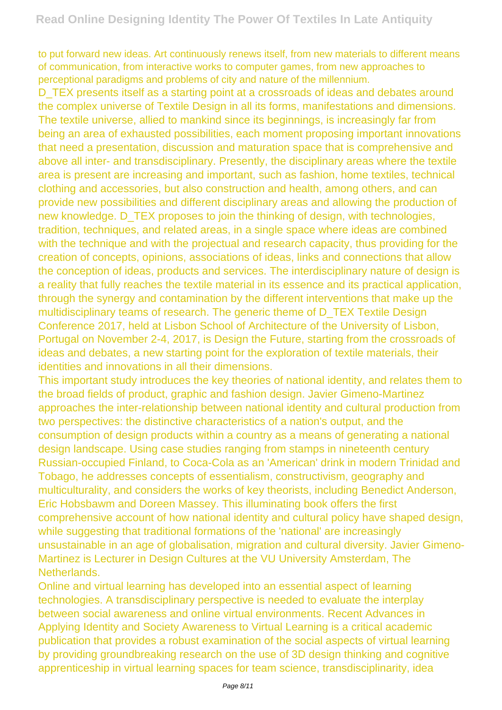to put forward new ideas. Art continuously renews itself, from new materials to different means of communication, from interactive works to computer games, from new approaches to perceptional paradigms and problems of city and nature of the millennium.

D\_TEX presents itself as a starting point at a crossroads of ideas and debates around the complex universe of Textile Design in all its forms, manifestations and dimensions. The textile universe, allied to mankind since its beginnings, is increasingly far from being an area of exhausted possibilities, each moment proposing important innovations that need a presentation, discussion and maturation space that is comprehensive and above all inter- and transdisciplinary. Presently, the disciplinary areas where the textile area is present are increasing and important, such as fashion, home textiles, technical clothing and accessories, but also construction and health, among others, and can provide new possibilities and different disciplinary areas and allowing the production of new knowledge. D\_TEX proposes to join the thinking of design, with technologies, tradition, techniques, and related areas, in a single space where ideas are combined with the technique and with the projectual and research capacity, thus providing for the creation of concepts, opinions, associations of ideas, links and connections that allow the conception of ideas, products and services. The interdisciplinary nature of design is a reality that fully reaches the textile material in its essence and its practical application, through the synergy and contamination by the different interventions that make up the multidisciplinary teams of research. The generic theme of D\_TEX Textile Design Conference 2017, held at Lisbon School of Architecture of the University of Lisbon, Portugal on November 2-4, 2017, is Design the Future, starting from the crossroads of ideas and debates, a new starting point for the exploration of textile materials, their identities and innovations in all their dimensions.

This important study introduces the key theories of national identity, and relates them to the broad fields of product, graphic and fashion design. Javier Gimeno-Martinez approaches the inter-relationship between national identity and cultural production from two perspectives: the distinctive characteristics of a nation's output, and the consumption of design products within a country as a means of generating a national design landscape. Using case studies ranging from stamps in nineteenth century Russian-occupied Finland, to Coca-Cola as an 'American' drink in modern Trinidad and Tobago, he addresses concepts of essentialism, constructivism, geography and multiculturality, and considers the works of key theorists, including Benedict Anderson, Eric Hobsbawm and Doreen Massey. This illuminating book offers the first comprehensive account of how national identity and cultural policy have shaped design, while suggesting that traditional formations of the 'national' are increasingly unsustainable in an age of globalisation, migration and cultural diversity. Javier Gimeno-Martinez is Lecturer in Design Cultures at the VU University Amsterdam, The Netherlands.

Online and virtual learning has developed into an essential aspect of learning technologies. A transdisciplinary perspective is needed to evaluate the interplay between social awareness and online virtual environments. Recent Advances in Applying Identity and Society Awareness to Virtual Learning is a critical academic publication that provides a robust examination of the social aspects of virtual learning by providing groundbreaking research on the use of 3D design thinking and cognitive apprenticeship in virtual learning spaces for team science, transdisciplinarity, idea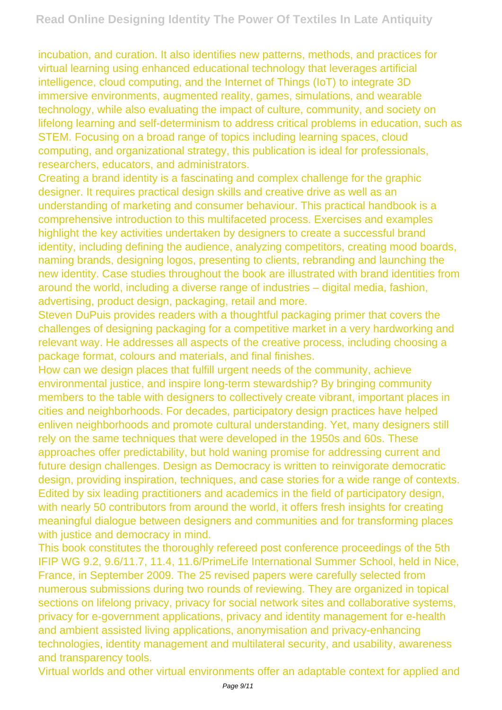incubation, and curation. It also identifies new patterns, methods, and practices for virtual learning using enhanced educational technology that leverages artificial intelligence, cloud computing, and the Internet of Things (IoT) to integrate 3D immersive environments, augmented reality, games, simulations, and wearable technology, while also evaluating the impact of culture, community, and society on lifelong learning and self-determinism to address critical problems in education, such as STEM. Focusing on a broad range of topics including learning spaces, cloud computing, and organizational strategy, this publication is ideal for professionals, researchers, educators, and administrators.

Creating a brand identity is a fascinating and complex challenge for the graphic designer. It requires practical design skills and creative drive as well as an understanding of marketing and consumer behaviour. This practical handbook is a comprehensive introduction to this multifaceted process. Exercises and examples highlight the key activities undertaken by designers to create a successful brand identity, including defining the audience, analyzing competitors, creating mood boards, naming brands, designing logos, presenting to clients, rebranding and launching the new identity. Case studies throughout the book are illustrated with brand identities from around the world, including a diverse range of industries – digital media, fashion, advertising, product design, packaging, retail and more.

Steven DuPuis provides readers with a thoughtful packaging primer that covers the challenges of designing packaging for a competitive market in a very hardworking and relevant way. He addresses all aspects of the creative process, including choosing a package format, colours and materials, and final finishes.

How can we design places that fulfill urgent needs of the community, achieve environmental justice, and inspire long-term stewardship? By bringing community members to the table with designers to collectively create vibrant, important places in cities and neighborhoods. For decades, participatory design practices have helped enliven neighborhoods and promote cultural understanding. Yet, many designers still rely on the same techniques that were developed in the 1950s and 60s. These approaches offer predictability, but hold waning promise for addressing current and future design challenges. Design as Democracy is written to reinvigorate democratic design, providing inspiration, techniques, and case stories for a wide range of contexts. Edited by six leading practitioners and academics in the field of participatory design, with nearly 50 contributors from around the world, it offers fresh insights for creating meaningful dialogue between designers and communities and for transforming places with justice and democracy in mind.

This book constitutes the thoroughly refereed post conference proceedings of the 5th IFIP WG 9.2, 9.6/11.7, 11.4, 11.6/PrimeLife International Summer School, held in Nice, France, in September 2009. The 25 revised papers were carefully selected from numerous submissions during two rounds of reviewing. They are organized in topical sections on lifelong privacy, privacy for social network sites and collaborative systems, privacy for e-government applications, privacy and identity management for e-health and ambient assisted living applications, anonymisation and privacy-enhancing technologies, identity management and multilateral security, and usability, awareness and transparency tools.

Virtual worlds and other virtual environments offer an adaptable context for applied and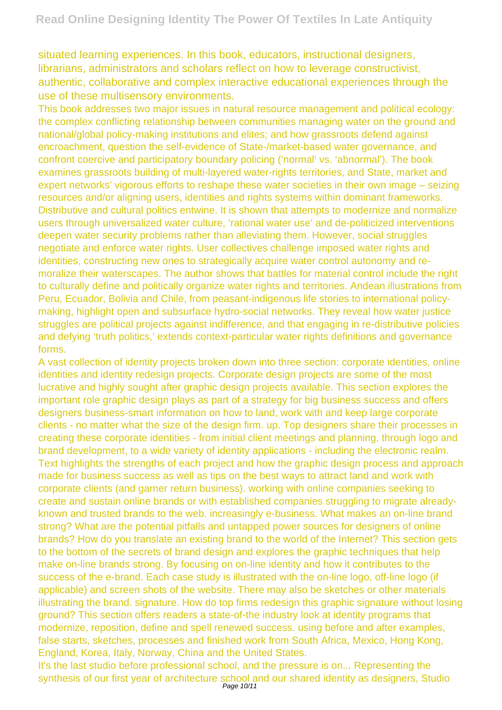situated learning experiences. In this book, educators, instructional designers, librarians, administrators and scholars reflect on how to leverage constructivist, authentic, collaborative and complex interactive educational experiences through the use of these multisensory environments.

This book addresses two major issues in natural resource management and political ecology: the complex conflicting relationship between communities managing water on the ground and national/global policy-making institutions and elites; and how grassroots defend against encroachment, question the self-evidence of State-/market-based water governance, and confront coercive and participatory boundary policing ('normal' vs. 'abnormal'). The book examines grassroots building of multi-layered water-rights territories, and State, market and expert networks' vigorous efforts to reshape these water societies in their own image – seizing resources and/or aligning users, identities and rights systems within dominant frameworks. Distributive and cultural politics entwine. It is shown that attempts to modernize and normalize users through universalized water culture, 'rational water use' and de-politicized interventions deepen water security problems rather than alleviating them. However, social struggles negotiate and enforce water rights. User collectives challenge imposed water rights and identities, constructing new ones to strategically acquire water control autonomy and remoralize their waterscapes. The author shows that battles for material control include the right to culturally define and politically organize water rights and territories. Andean illustrations from Peru, Ecuador, Bolivia and Chile, from peasant-indigenous life stories to international policymaking, highlight open and subsurface hydro-social networks. They reveal how water justice struggles are political projects against indifference, and that engaging in re-distributive policies and defying 'truth politics,' extends context-particular water rights definitions and governance forms.

A vast collection of identity projects broken down into three section: corporate identities, online identities and identity redesign projects. Corporate design projects are some of the most lucrative and highly sought after graphic design projects available. This section explores the important role graphic design plays as part of a strategy for big business success and offers designers business-smart information on how to land, work with and keep large corporate clients - no matter what the size of the design firm. up. Top designers share their processes in creating these corporate identities - from initial client meetings and planning, through logo and brand development, to a wide variety of identity applications - including the electronic realm. Text highlights the strengths of each project and how the graphic design process and approach made for business success as well as tips on the best ways to attract land and work with corporate clients (and garner return business). working with online companies seeking to create and sustain online brands or with established companies struggling to migrate alreadyknown and trusted brands to the web. increasingly e-business. What makes an on-line brand strong? What are the potential pitfalls and untapped power sources for designers of online brands? How do you translate an existing brand to the world of the Internet? This section gets to the bottom of the secrets of brand design and explores the graphic techniques that help make on-line brands strong. By focusing on on-line identity and how it contributes to the success of the e-brand. Each case study is illustrated with the on-line logo, off-line logo (if applicable) and screen shots of the website. There may also be sketches or other materials illustrating the brand. signature. How do top firms redesign this graphic signature without losing ground? This section offers readers a state-of-the industry look at identity programs that modernize, reposition, define and spell renewed success. using before and after examples, false starts, sketches, processes and finished work from South Africa, Mexico, Hong Kong, England, Korea, Italy, Norway, China and the United States.

It's the last studio before professional school, and the pressure is on... Representing the synthesis of our first year of architecture school and our shared identity as designers. Studio Page 10/11